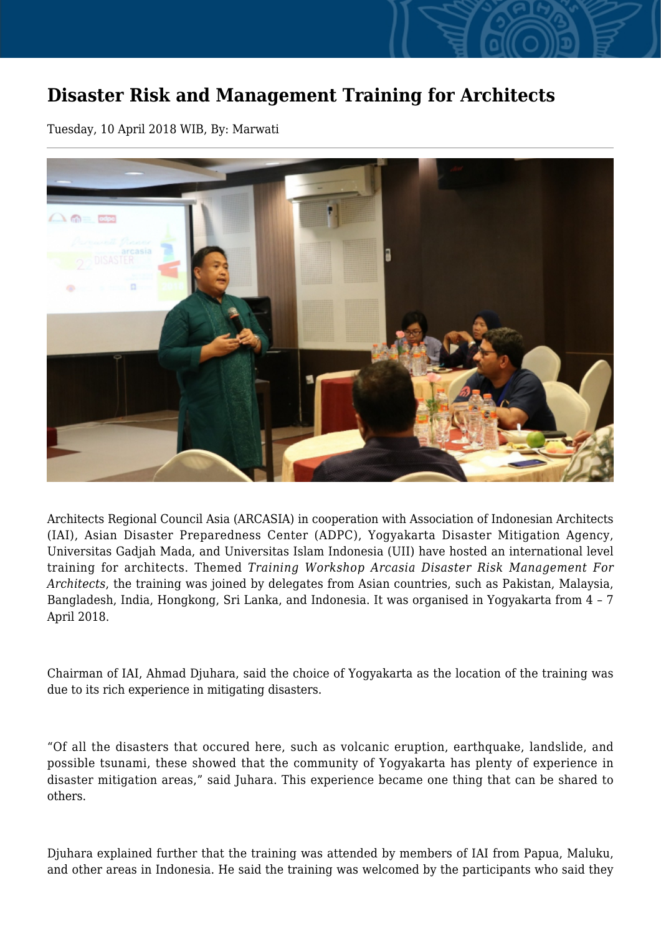## **Disaster Risk and Management Training for Architects**

Tuesday, 10 April 2018 WIB, By: Marwati



Architects Regional Council Asia (ARCASIA) in cooperation with Association of Indonesian Architects (IAI), Asian Disaster Preparedness Center (ADPC), Yogyakarta Disaster Mitigation Agency, Universitas Gadjah Mada, and Universitas Islam Indonesia (UII) have hosted an international level training for architects. Themed *Training Workshop Arcasia Disaster Risk Management For Architects*, the training was joined by delegates from Asian countries, such as Pakistan, Malaysia, Bangladesh, India, Hongkong, Sri Lanka, and Indonesia. It was organised in Yogyakarta from 4 – 7 April 2018.

Chairman of IAI, Ahmad Djuhara, said the choice of Yogyakarta as the location of the training was due to its rich experience in mitigating disasters.

"Of all the disasters that occured here, such as volcanic eruption, earthquake, landslide, and possible tsunami, these showed that the community of Yogyakarta has plenty of experience in disaster mitigation areas," said Juhara. This experience became one thing that can be shared to others.

Djuhara explained further that the training was attended by members of IAI from Papua, Maluku, and other areas in Indonesia. He said the training was welcomed by the participants who said they